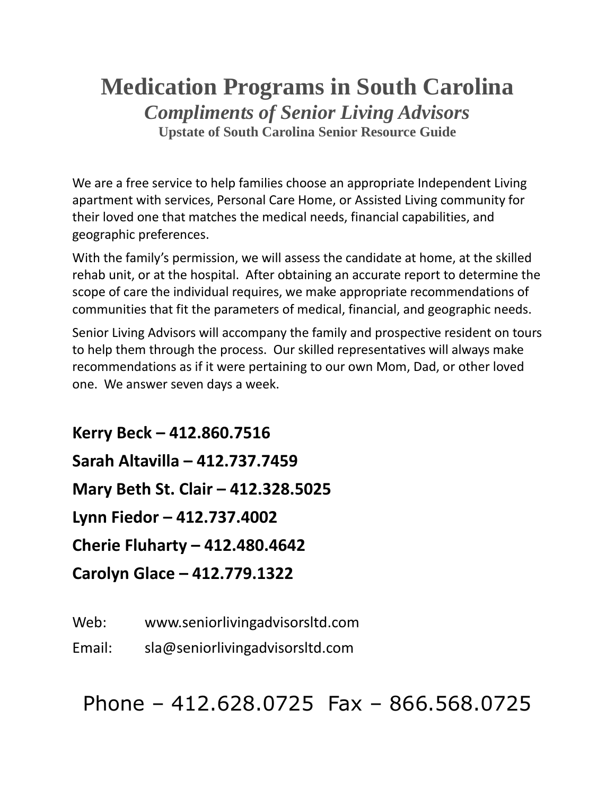## **Medication Programs in South Carolina** *Compliments of Senior Living Advisors* **Upstate of South Carolina Senior Resource Guide**

We are a free service to help families choose an appropriate Independent Living apartment with services, Personal Care Home, or Assisted Living community for their loved one that matches the medical needs, financial capabilities, and geographic preferences.

With the family's permission, we will assess the candidate at home, at the skilled rehab unit, or at the hospital. After obtaining an accurate report to determine the scope of care the individual requires, we make appropriate recommendations of communities that fit the parameters of medical, financial, and geographic needs.

Senior Living Advisors will accompany the family and prospective resident on tours to help them through the process. Our skilled representatives will always make recommendations as if it were pertaining to our own Mom, Dad, or other loved one. We answer seven days a week.

**Kerry Beck – 412.860.7516 Sarah Altavilla – 412.737.7459 Mary Beth St. Clair – 412.328.5025 Lynn Fiedor – 412.737.4002 Cherie Fluharty – 412.480.4642 Carolyn Glace – 412.779.1322**

Web: www.seniorlivingadvisorsltd.com

Email: sla@seniorlivingadvisorsltd.com

Phone – 412.628.0725 Fax – 866.568.0725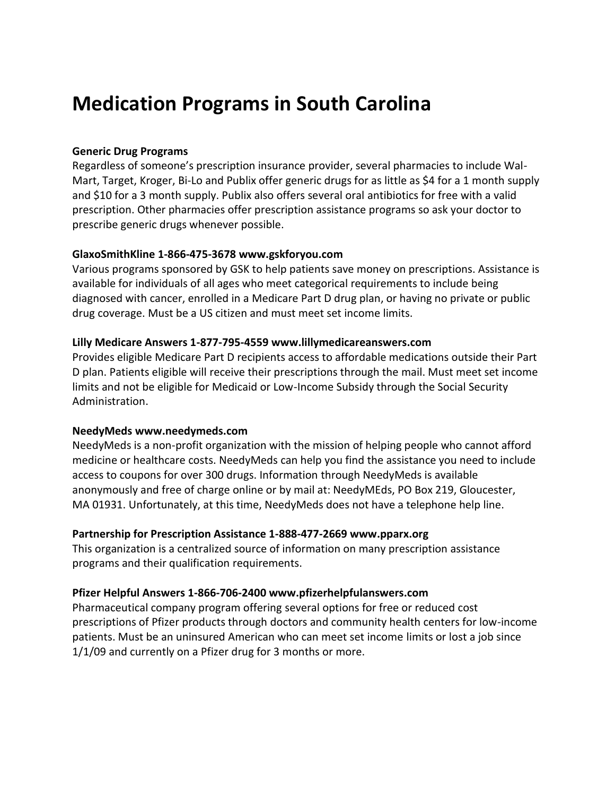# **Medication Programs in South Carolina**

#### **Generic Drug Programs**

Regardless of someone's prescription insurance provider, several pharmacies to include Wal-Mart, Target, Kroger, Bi-Lo and Publix offer generic drugs for as little as \$4 for a 1 month supply and \$10 for a 3 month supply. Publix also offers several oral antibiotics for free with a valid prescription. Other pharmacies offer prescription assistance programs so ask your doctor to prescribe generic drugs whenever possible.

## **GlaxoSmithKline 1-866-475-3678 www.gskforyou.com**

Various programs sponsored by GSK to help patients save money on prescriptions. Assistance is available for individuals of all ages who meet categorical requirements to include being diagnosed with cancer, enrolled in a Medicare Part D drug plan, or having no private or public drug coverage. Must be a US citizen and must meet set income limits.

## **Lilly Medicare Answers 1-877-795-4559 www.lillymedicareanswers.com**

Provides eligible Medicare Part D recipients access to affordable medications outside their Part D plan. Patients eligible will receive their prescriptions through the mail. Must meet set income limits and not be eligible for Medicaid or Low-Income Subsidy through the Social Security Administration.

#### **NeedyMeds www.needymeds.com**

NeedyMeds is a non-profit organization with the mission of helping people who cannot afford medicine or healthcare costs. NeedyMeds can help you find the assistance you need to include access to coupons for over 300 drugs. Information through NeedyMeds is available anonymously and free of charge online or by mail at: NeedyMEds, PO Box 219, Gloucester, MA 01931. Unfortunately, at this time, NeedyMeds does not have a telephone help line.

#### **Partnership for Prescription Assistance 1-888-477-2669 www.pparx.org**

This organization is a centralized source of information on many prescription assistance programs and their qualification requirements.

## **Pfizer Helpful Answers 1-866-706-2400 www.pfizerhelpfulanswers.com**

Pharmaceutical company program offering several options for free or reduced cost prescriptions of Pfizer products through doctors and community health centers for low-income patients. Must be an uninsured American who can meet set income limits or lost a job since 1/1/09 and currently on a Pfizer drug for 3 months or more.